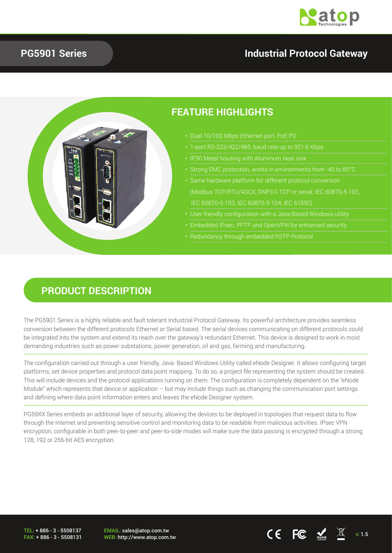

#### **PG5901 Series**

## **Industrial Protocol Gateway**



### **PRODUCT DESCRIPTION**

The PG5901 Series is a highly reliable and fault tolerant Industrial Protocol Gateway. Its powerful architecture provides seamless conversion between the different protocols Ethernet or Serial based. The serial devices communicating on different protocols could be integrated into the system and extend its reach over the gateway's redundant Ethernet. This device is designed to work in most demanding industries such as power substations, power generation, oil and gas, farming and manufacturing.

The configuration carried out through a user friendly, Java- Based Windows Utility called eNode Designer. It allows configuring target platforms, set device properties and protocol data point mapping. To do so, a project file representing the system should be created. This will include devices and the protocol applications running on them. The configuration is completely dependent on the "eNode Module" which represents that device or application – but may include things such as changing the communication port settings and defining where data point information enters and leaves the eNode Designer system.

PG59XX Series embeds an additional layer of security, allowing the devices to be deployed in topologies that request data to flow through the Internet and preventing sensitive control and monitoring data to be readable from malicious activities. IPsec VPN encryption, configurable in both peer-to-peer and peer-to-side modes will make sure the data passing is encrypted through a strong 128, 192 or 256-bit AES encryption.

TEL: + 886 - 3 - 5508137 FAX: + 886 - 3 - 5508131 EMAIL: sales@atop.com.tw

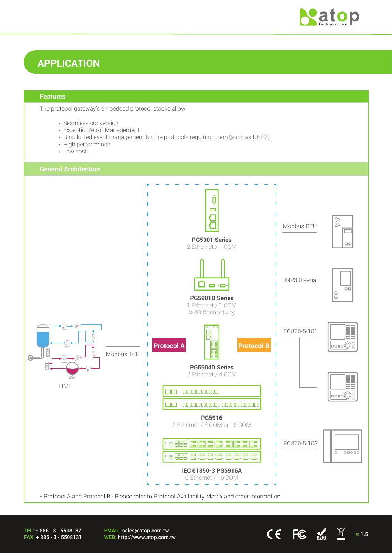

## **APPLICATION**

#### **Features**

The protocol gateway's embedded protocol stacks allow

- Seamless conversion
- Exception/error Management
- Unsolicited event management for the protocols requiring them (such as DNP3)
- High performance
- Low cost



TEL: + 886 - 3 - 5508137 FAX: + 886 - 3 - 5508131 EMAIL: sales@atop.com.tw EMAIL: sales@atop.com.tw  $\mathsf{V}\in\mathsf{B}$ : http://www.atop.com.tw  $\mathsf{V}\in\mathsf{S}$  and  $\mathsf{V}\in\mathsf{B}$ : http://www.atop.com.tw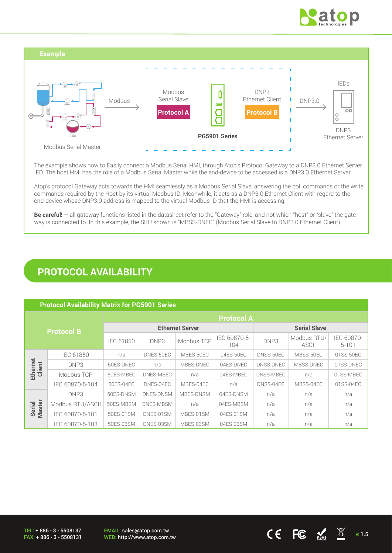



The example shows how to Easily connect a Modbus Serial HMI, through Atop's Protocol Gateway to a DNP3.0 Ethernet Server IED. The host HMI has the role of a Modbus Serial Master while the end-device to be accessed is a DNP3.0 Ethernet Server.

Atop's protocol Gateway acts towards the HMI seamlessly as a Modbus Serial Slave, answering the poll commands or the write commands required by the Host by its virtual Modbus ID. Meanwhile, it acts as a DNP3.0 Ethernet Client with regard to the end-device whose DNP3.0 address is mapped to the virtual Modbus ID that the HMI is accessing.

**Be careful!** – all gateway functions listed in the datasheet refer to the "Gateway" role, and not which "host" or "slave" the gate way is connected to. In this example, the SKU shown is "MBSS-DNEC" (Modbus Serial Slave to DNP3.0 Ethernet Client)

#### **PROTOCOL AVAILABILITY**

| <b>Protocol Availability Matrix for PG5901 Series</b> |                  |                        |                  |            |                     |                     |                      |                         |
|-------------------------------------------------------|------------------|------------------------|------------------|------------|---------------------|---------------------|----------------------|-------------------------|
| <b>Protocol B</b>                                     |                  | <b>Protocol A</b>      |                  |            |                     |                     |                      |                         |
|                                                       |                  | <b>Ethernet Server</b> |                  |            |                     | <b>Serial Slave</b> |                      |                         |
|                                                       |                  | <b>IEC 61850</b>       | DNP3             | Modbus TCP | IEC 60870-5-<br>104 | DNP3                | Modbus RTU/<br>ASCII | IEC 60870-<br>$5 - 101$ |
|                                                       | <b>IEC 61850</b> | n/a                    | DNES-50EC        | MBES-50EC  | 04ES-50EC           | DNSS-50EC           | MBSS-50EC            | 01SS-50EC               |
| Ethernet<br>Client                                    | DNP3             | 50ES-DNEC              | n/a              | MBES-DNEC  | 04ES-DNEC           | DNSS-DNEC           | MBSS-DNEC            | 01SS-DNEC               |
|                                                       | Modbus TCP       | 50ES-MBEC              | DNES-MBEC        | n/a        | 04ES-MBEC           | DNSS-MBEC           | n/a                  | 01SS-MBEC               |
|                                                       | IEC 60870-5-104  | 50ES-04EC              | DNES-04EC        | MBES-04EC  | n/a                 | DNSS-04EC           | MBSS-04EC            | 01SS-04EC               |
|                                                       | DNP3             | 50ES-DNSM              | DNES-DNSM        | MBES-DNSM  | 04ES-DNSM           | n/a                 | n/a                  | n/a                     |
| Serial<br>Master                                      | Modbus RTU/ASCII | 50ES-MBSM              | <b>DNES-MBSM</b> | n/a        | 04ES-MBSM           | n/a                 | n/a                  | n/a                     |
|                                                       | IEC 60870-5-101  | 50ES-01SM              | DNES-01SM        | MBES-01SM  | 04ES-01SM           | n/a                 | n/a                  | n/a                     |
|                                                       | IEC 60870-5-103  | 50ES-03SM              | DNES-03SM        | MBES-03SM  | 04ES-03SM           | n/a                 | n/a                  | n/a                     |

EMAIL: sales@atop.com.tw EMAIL: sales@atop.com.tw<br>WEB: http://www.atop.com.tw v: 1.5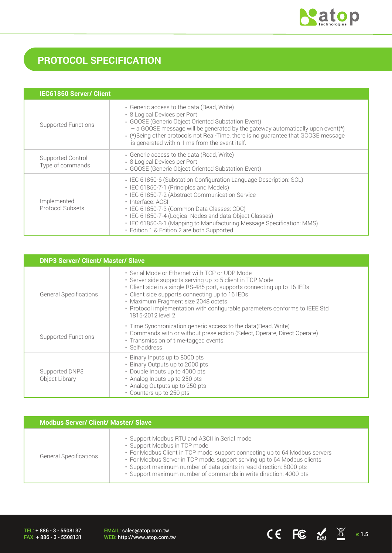

# **PROTOCOL SPECIFICATION**

| <b>IEC61850 Server/ Client</b>        |                                                                                                                                                                                                                                                                                                                                                                                                                       |
|---------------------------------------|-----------------------------------------------------------------------------------------------------------------------------------------------------------------------------------------------------------------------------------------------------------------------------------------------------------------------------------------------------------------------------------------------------------------------|
| Supported Functions                   | • Generic access to the data (Read, Write)<br>• 8 Logical Devices per Port<br>• GOOSE (Generic Object Oriented Substation Event)<br>$-$ a GOOSE message will be generated by the gateway automatically upon event(*)<br>• (*) Being other protocols not Real-Time, there is no quarantee that GOOSE message<br>is generated within 1 ms from the event itelf.                                                         |
| Supported Control<br>Type of commands | • Generic access to the data (Read, Write)<br>• 8 Logical Devices per Port<br>• GOOSE (Generic Object Oriented Substation Event)                                                                                                                                                                                                                                                                                      |
| Implemented<br>Protocol Subsets       | • IEC 61850-6 (Substation Configuration Language Description: SCL)<br>• IEC 61850-7-1 (Principles and Models)<br>• IEC 61850-7-2 (Abstract Communication Service<br>· Interface: ACSI<br>• IEC 61850-7-3 (Common Data Classes: CDC)<br>• IEC 61850-7-4 (Logical Nodes and data Object Classes)<br>• IEC 61850-8-1 (Mapping to Manufacturing Message Specification: MMS)<br>• Edition 1 & Edition 2 are both Supported |

|                                  | <b>DNP3 Server/ Client/ Master/ Slave</b>                                                                                                                                                                                                                                                                                                                                             |  |  |  |
|----------------------------------|---------------------------------------------------------------------------------------------------------------------------------------------------------------------------------------------------------------------------------------------------------------------------------------------------------------------------------------------------------------------------------------|--|--|--|
| <b>General Specifications</b>    | • Serial Mode or Ethernet with TCP or UDP Mode<br>• Server side supports serving up to 5 client in TCP Mode<br>• Client side in a single RS-485 port, supports connecting up to 16 IEDs<br>• Client side supports connecting up to 16 IEDs<br>· Maximum Fragment size 2048 octets<br>• Protocol implementation with configurable parameters conforms to IEEE Std<br>1815-2012 level 2 |  |  |  |
| <b>Supported Functions</b>       | · Time Synchronization generic access to the data(Read, Write)<br>• Commands with or without preselection (Select, Operate, Direct Operate)<br>• Transmission of time-tagged events<br>• Self-address                                                                                                                                                                                 |  |  |  |
| Supported DNP3<br>Object Library | • Binary Inputs up to 8000 pts<br>• Binary Outputs up to 2000 pts<br>• Double Inputs up to 4000 pts<br>• Analog Inputs up to 250 pts<br>• Analog Outputs up to 250 pts<br>• Counters up to 250 pts                                                                                                                                                                                    |  |  |  |

| <b>Modbus Server/ Client/ Master/ Slave</b> |                                                                                                                                                                                                                                                                                                                                                                                      |  |  |
|---------------------------------------------|--------------------------------------------------------------------------------------------------------------------------------------------------------------------------------------------------------------------------------------------------------------------------------------------------------------------------------------------------------------------------------------|--|--|
| <b>General Specifications</b>               | . Support Modbus RTU and ASCII in Serial mode<br>• Support Modbus in TCP mode<br>• For Modbus Client in TCP mode, support connecting up to 64 Modbus servers<br>• For Modbus Server in TCP mode, support serving up to 64 Modbus clients<br>· Support maximum number of data points in read direction: 8000 pts<br>· Support maximum number of commands in write direction: 4000 pts |  |  |

TEL: + 886 - 3 - 5508137 FAX: + 886 - 3 - 5508131 EMAIL: sales@atop.com.tw<br>WEB: http://www.atop.com.tw

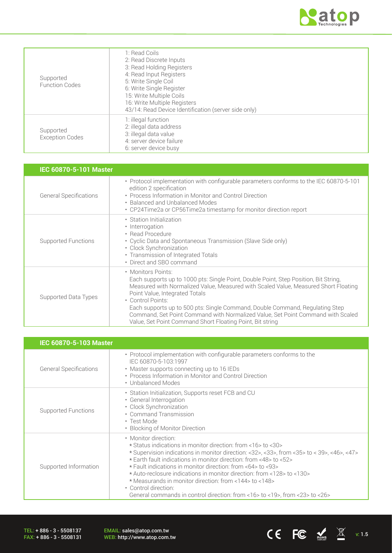

| Supported<br><b>Function Codes</b>  | 1: Read Coils<br>2: Read Discrete Inputs<br>3: Read Holding Registers<br>4: Read Input Registers<br>5: Write Single Coil<br>6: Write Single Register<br>15: Write Multiple Coils<br>16: Write Multiple Registers<br>43/14: Read Device Identification (server side only) |
|-------------------------------------|--------------------------------------------------------------------------------------------------------------------------------------------------------------------------------------------------------------------------------------------------------------------------|
| Supported<br><b>Exception Codes</b> | 1: illegal function<br>2: illegal data address<br>3: illegal data value<br>4: server device failure<br>6: server device busy                                                                                                                                             |

| IEC 60870-5-101 Master        |                                                                                                                                                                                                                                                                                                                                                                                                                                                                                          |
|-------------------------------|------------------------------------------------------------------------------------------------------------------------------------------------------------------------------------------------------------------------------------------------------------------------------------------------------------------------------------------------------------------------------------------------------------------------------------------------------------------------------------------|
| <b>General Specifications</b> | • Protocol implementation with configurable parameters conforms to the IEC 60870-5-101<br>edition 2 specification<br>• Process Information in Monitor and Control Direction<br>• Balanced and Unbalanced Modes<br>• CP24Time2a or CP56Time2a timestamp for monitor direction report                                                                                                                                                                                                      |
| Supported Functions           | • Station Initialization<br>• Interrogation<br>• Read Procedure<br>• Cyclic Data and Spontaneous Transmission (Slave Side only)<br>• Clock Synchronization<br>• Transmission of Integrated Totals<br>• Direct and SBO command                                                                                                                                                                                                                                                            |
| Supported Data Types          | • Monitors Points:<br>Each supports up to 1000 pts: Single Point, Double Point, Step Position, Bit String,<br>Measured with Normalized Value, Measured with Scaled Value, Measured Short Floating<br>Point Value, Integrated Totals<br>• Control Points:<br>Each supports up to 500 pts: Single Command, Double Command, Regulating Step<br>Command, Set Point Command with Normalized Value, Set Point Command with Scaled<br>Value, Set Point Command Short Floating Point, Bit string |

| IEC 60870-5-103 Master        |                                                                                                                                                                                                                                                                                                                                                                                                                                                                                                                                                                  |
|-------------------------------|------------------------------------------------------------------------------------------------------------------------------------------------------------------------------------------------------------------------------------------------------------------------------------------------------------------------------------------------------------------------------------------------------------------------------------------------------------------------------------------------------------------------------------------------------------------|
| <b>General Specifications</b> | • Protocol implementation with configurable parameters conforms to the<br>IEC 60870-5-103:1997<br>• Master supports connecting up to 16 IEDs<br>• Process Information in Monitor and Control Direction<br>• Unbalanced Modes                                                                                                                                                                                                                                                                                                                                     |
| Supported Functions           | • Station Initialization, Supports reset FCB and CU<br>• General Interrogation<br>· Clock Synchronization<br>• Command Transmission<br>• Test Mode<br>• Blocking of Monitor Direction                                                                                                                                                                                                                                                                                                                                                                            |
| Supported Information         | • Monitor direction:<br>* Status indications in monitor direction: from <16>to <30><br>* Supervision indications in monitor direction: <32>, <33>, from <35> to < 39>, <46>, <47><br>* Earth fault indications in monitor direction: from <48> to <52><br>* Fault indications in monitor direction: from <64> to <93><br>* Auto-reclosure indications in monitor direction: from <128> to <130><br>* Measurands in monitor direction: from <144> to <148><br>• Control direction:<br>General commands in control direction: from <16> to <19>, from <23> to <26> |

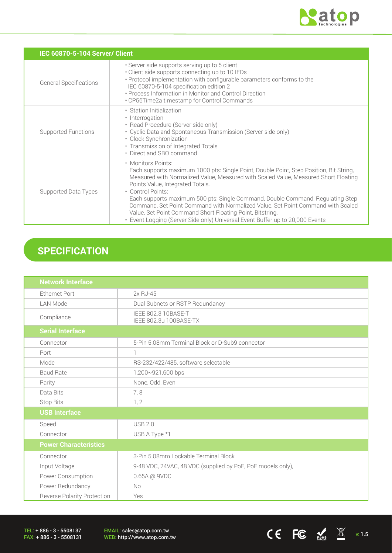

CE FC  $\underset{\text{nohs}}{\underbrace{\mathbb{K}}}$   $\quad \mathbb{X}$  v: 1.5

|                               | IEC 60870-5-104 Server/ Client                                                                                                                                                                                                                                                                                                                                                                                                                                                                                                                                                  |  |  |  |  |
|-------------------------------|---------------------------------------------------------------------------------------------------------------------------------------------------------------------------------------------------------------------------------------------------------------------------------------------------------------------------------------------------------------------------------------------------------------------------------------------------------------------------------------------------------------------------------------------------------------------------------|--|--|--|--|
| <b>General Specifications</b> | · Server side supports serving up to 5 client<br>• Client side supports connecting up to 10 IEDs<br>• Protocol implementation with configurable parameters conforms to the<br>IEC 60870-5-104 specification edition 2<br>• Process Information in Monitor and Control Direction<br>• CP56Time2a timestamp for Control Commands                                                                                                                                                                                                                                                  |  |  |  |  |
| <b>Supported Functions</b>    | • Station Initialization<br>• Interrogation<br>• Read Procedure (Server side only)<br>• Cyclic Data and Spontaneous Transmission (Server side only)<br>• Clock Synchronization<br>• Transmission of Integrated Totals<br>• Direct and SBO command                                                                                                                                                                                                                                                                                                                               |  |  |  |  |
| Supported Data Types          | • Monitors Points:<br>Each supports maximum 1000 pts: Single Point, Double Point, Step Position, Bit String,<br>Measured with Normalized Value, Measured with Scaled Value, Measured Short Floating<br>Points Value, Integrated Totals.<br>• Control Points:<br>Each supports maximum 500 pts: Single Command, Double Command, Regulating Step<br>Command, Set Point Command with Normalized Value, Set Point Command with Scaled<br>Value, Set Point Command Short Floating Point, Bitstring.<br>• Event Logging (Server Side only) Universal Event Buffer up to 20,000 Events |  |  |  |  |

## **SPECIFICATION**

| <b>Network Interface</b>                          |                                                             |  |
|---------------------------------------------------|-------------------------------------------------------------|--|
| <b>Ethernet Port</b>                              | 2x RJ-45                                                    |  |
| <b>LAN Mode</b>                                   | Dual Subnets or RSTP Redundancy                             |  |
| Compliance                                        | IEEE 802.3 10BASE-T<br>IEEE 802.3u 100BASE-TX               |  |
| <b>Serial Interface</b>                           |                                                             |  |
| Connector                                         | 5-Pin 5.08mm Terminal Block or D-Sub9 connector             |  |
| Port                                              | 1                                                           |  |
| Mode                                              | RS-232/422/485, software selectable                         |  |
| <b>Baud Rate</b>                                  | 1,200~921,600 bps                                           |  |
| Parity                                            | None, Odd, Even                                             |  |
| Data Bits                                         | 7,8                                                         |  |
| Stop Bits<br>1, 2                                 |                                                             |  |
| <b>USB Interface</b>                              |                                                             |  |
| Speed                                             | <b>USB 2.0</b>                                              |  |
| Connector                                         | USB A Type *1                                               |  |
| <b>Power Characteristics</b>                      |                                                             |  |
| 3-Pin 5.08mm Lockable Terminal Block<br>Connector |                                                             |  |
| Input Voltage                                     | 9-48 VDC, 24VAC, 48 VDC (supplied by PoE, PoE models only), |  |
| Power Consumption                                 | 0.65A @ 9VDC                                                |  |
| Power Redundancy                                  | <b>No</b>                                                   |  |
| <b>Reverse Polarity Protection</b>                | Yes                                                         |  |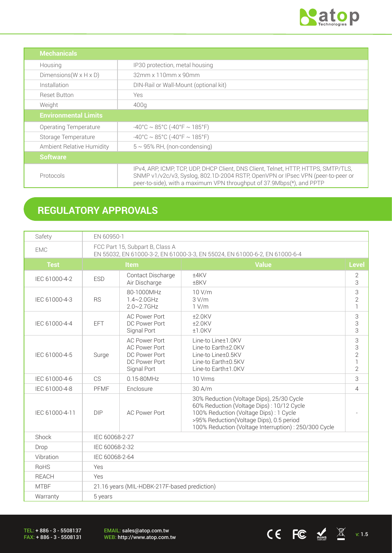

CE FC  $\underset{\text{nohs}}{\mathbb{E}}$   $\mathbb{E}$  v: 1.5

| <b>Mechanicals</b>                                              |                                                                                                                                                                                                                                                |
|-----------------------------------------------------------------|------------------------------------------------------------------------------------------------------------------------------------------------------------------------------------------------------------------------------------------------|
| Housing                                                         | IP30 protection, metal housing                                                                                                                                                                                                                 |
| Dimensions ( $W \times H \times D$ )                            | 32mm x 110mm x 90mm                                                                                                                                                                                                                            |
| Installation                                                    | DIN-Rail or Wall-Mount (optional kit)                                                                                                                                                                                                          |
| <b>Reset Button</b>                                             | Yes                                                                                                                                                                                                                                            |
| Weight<br>400q                                                  |                                                                                                                                                                                                                                                |
| <b>Environmental Limits</b>                                     |                                                                                                                                                                                                                                                |
| Operating Temperature                                           | $-40^{\circ}$ C ~ 85°C (-40°F ~ 185°F)                                                                                                                                                                                                         |
| $-40^{\circ}$ C ~ 85°C (-40°F ~ 185°F)<br>Storage Temperature   |                                                                                                                                                                                                                                                |
| $5 \sim 95\%$ RH, (non-condensing)<br>Ambient Relative Humidity |                                                                                                                                                                                                                                                |
| <b>Software</b>                                                 |                                                                                                                                                                                                                                                |
| Protocols                                                       | IPv4, ARP, ICMP, TCP, UDP, DHCP Client, DNS Client, Telnet, HTTP, HTTPS, SMTP/TLS,<br>SNMP v1/v2c/v3, Syslog, 802.1D-2004 RSTP, OpenVPN or IPsec VPN (peer-to-peer or<br>peer-to-side), with a maximum VPN throughput of 37.9Mbps(*), and PPTP |

## **REGULATORY APPROVALS**

| Safety         | EN 60950-1                                                                                                    |                                                                                               |                                                                                                                                                                                                                                       |                     |  |
|----------------|---------------------------------------------------------------------------------------------------------------|-----------------------------------------------------------------------------------------------|---------------------------------------------------------------------------------------------------------------------------------------------------------------------------------------------------------------------------------------|---------------------|--|
| <b>EMC</b>     | FCC Part 15, Subpart B, Class A<br>EN 55032, EN 61000-3-2, EN 61000-3-3, EN 55024, EN 61000-6-2, EN 61000-6-4 |                                                                                               |                                                                                                                                                                                                                                       |                     |  |
| <b>Test</b>    | <b>Value</b><br><b>Item</b>                                                                                   |                                                                                               | Level                                                                                                                                                                                                                                 |                     |  |
| IEC 61000-4-2  | <b>ESD</b>                                                                                                    | Contact Discharge<br>Air Discharge                                                            | ±4KV<br>±8KV                                                                                                                                                                                                                          | $\overline{2}$<br>3 |  |
| IEC 61000-4-3  | <b>RS</b>                                                                                                     | 80-1000MHz<br>$1.4 - 2.0$ GHz<br>$2.0 - 2.7$ GHz                                              | 10 V/m<br>3 V/m<br>1 V/m                                                                                                                                                                                                              |                     |  |
| IEC 61000-4-4  | <b>EFT</b>                                                                                                    | <b>AC Power Port</b><br>DC Power Port<br>Signal Port                                          | ±2.0KV<br>$±2.0$ KV<br>$±1.0$ KV                                                                                                                                                                                                      |                     |  |
| IEC 61000-4-5  | Surge                                                                                                         | <b>AC Power Port</b><br><b>AC Power Port</b><br>DC Power Port<br>DC Power Port<br>Signal Port | Line-to Line±1.0KV<br>Line-to Earth±2.0KV<br>Line-to Line±0.5KV<br>Line-to Earth±0.5KV<br>Line-to Earth±1.0KV                                                                                                                         |                     |  |
| IEC 61000-4-6  | CS                                                                                                            | 0.15-80MHz                                                                                    | 10 Vrms                                                                                                                                                                                                                               |                     |  |
| IEC 61000-4-8  | <b>PFMF</b>                                                                                                   | Enclosure                                                                                     | 30 A/m                                                                                                                                                                                                                                |                     |  |
| IEC 61000-4-11 | <b>DIP</b>                                                                                                    | <b>AC Power Port</b>                                                                          | 30% Reduction (Voltage Dips), 25/30 Cycle<br>60% Reduction (Voltage Dips): 10/12 Cycle<br>100% Reduction (Voltage Dips): 1 Cycle<br>>95% Reduction(Voltage Dips), 0.5 period<br>100% Reduction (Voltage Interruption) : 250/300 Cycle |                     |  |
| Shock          | IEC 60068-2-27                                                                                                |                                                                                               |                                                                                                                                                                                                                                       |                     |  |
| Drop           | IEC 60068-2-32                                                                                                |                                                                                               |                                                                                                                                                                                                                                       |                     |  |
| Vibration      | IEC 60068-2-64                                                                                                |                                                                                               |                                                                                                                                                                                                                                       |                     |  |
| <b>RoHS</b>    | Yes                                                                                                           |                                                                                               |                                                                                                                                                                                                                                       |                     |  |
| <b>REACH</b>   | Yes                                                                                                           |                                                                                               |                                                                                                                                                                                                                                       |                     |  |
| <b>MTBF</b>    | 21.16 years (MIL-HDBK-217F-based prediction)                                                                  |                                                                                               |                                                                                                                                                                                                                                       |                     |  |
| Warranty       | 5 years                                                                                                       |                                                                                               |                                                                                                                                                                                                                                       |                     |  |

TEL: + 886 - 3 - 5508137 FAX: + 886 - 3 - 5508131 EMAIL: sales@atop.com.tw<br>WEB: http://www.atop.com.tw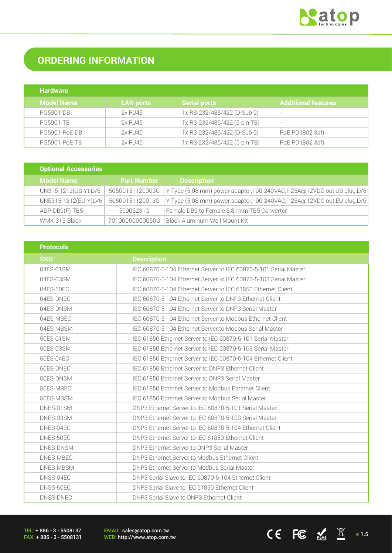

# **ORDERING INFORMATION**

| <b>Hardware</b>   |                  |                              |                            |
|-------------------|------------------|------------------------------|----------------------------|
| <b>Model Name</b> | <b>LAN ports</b> | <b>Serial ports</b>          | <b>Additional features</b> |
| <b>PG5901-DB</b>  | 2x RJ45          | 1x RS-232/485/422 (D-Sub 9)  | $\overline{\phantom{a}}$   |
| <b>PG5901-TB</b>  | 2x RJ45          | 1x RS-232/485/422 (5-pin TB) | $\overline{\phantom{a}}$   |
| PG5901-PoE-DB     | 2x RJ45          | 1x RS-232/485/422 (D-Sub 9)  | PoE PD (802.3af)           |
| PG5901-PoE-TB     | 2x RJ45          | 1x RS-232/485/422 (5-pin TB) | PoE PD (802.3af)           |

| <b>Optional Accessories</b> |                    |                                                                           |
|-----------------------------|--------------------|---------------------------------------------------------------------------|
| <b>Model Name</b>           | <b>Part Number</b> | <b>Description</b>                                                        |
| UN315-1212(US-Y) LV6        | 50500151120003G    | Y-Type (5.08 mm) power adaptor, 100-240VAC, 1.25A@12VDC out, US plug, LV6 |
| UNE315-1212(EU-Y)LV6        | 50500151120013G    | Y-Type (5.08 mm) power adaptor,100-240VAC,1.25A@12VDC out,EU plug,LV6     |
| ADP-DB9(F)-TB5              | 59906231G          | Female DB9 to Female 3.81mm TB5 Converter                                 |
| WMK-315-Black               | 70100000000050G    | Black Aluminum Wall Mount Kit                                             |

| <b>Protocols</b> |                                                                  |
|------------------|------------------------------------------------------------------|
| <b>SKU</b>       | <b>Description</b>                                               |
| 04ES-01SM        | IEC 60870-5-104 Ethernet Server to IEC 60870-5-101 Serial Master |
| 04ES-03SM        | IEC 60870-5-104 Ethernet Server to IEC 60870-5-103 Serial Master |
| 04ES-50EC        | IEC 60870-5-104 Ethernet Server to IEC 61850 Ethernet Client     |
| 04ES-DNEC        | IEC 60870-5-104 Ethernet Server to DNP3 Ethernet Client          |
| 04ES-DNSM        | IEC 60870-5-104 Ethernet Server to DNP3 Serial Master            |
| 04ES-MBEC        | IEC 60870-5-104 Ethernet Server to Modbus Ethernet Client        |
| 04ES-MBSM        | IEC 60870-5-104 Ethernet Server to Modbus Serial Master          |
| 50ES-01SM        | IEC 61850 Ethernet Server to IEC 60870-5-101 Serial Master       |
| 50ES-03SM        | IEC 61850 Ethernet Server to IEC 60870-5-103 Serial Master       |
| 50ES-04EC        | IEC 61850 Ethernet Server to IEC 60870-5-104 Ethernet Client     |
| 50ES-DNEC        | IEC 61850 Ethernet Server to DNP3 Ethernet Client                |
| 50ES-DNSM        | IFC 61850 Ethernet Server to DNP3 Serial Master                  |
| 50ES-MBEC        | IEC 61850 Ethernet Server to Modbus Ethernet Client              |
| 50ES-MBSM        | IEC 61850 Ethernet Server to Modbus Serial Master                |
| DNES-01SM        | DNP3 Ethernet Server to IEC 60870-5-101 Serial Master            |
| DNES-03SM        | DNP3 Ethernet Server to IEC 60870-5-103 Serial Master            |
| DNES-04EC        | DNP3 Ethernet Server to IEC 60870-5-104 Ethernet Client          |
| DNES-50EC        | DNP3 Ethernet Server to IEC 61850 Ethernet Client                |
| DNES-DNSM        | DNP3 Ethernet Server to DNP3 Serial Master                       |
| DNES-MBEC        | DNP3 Ethernet Server to Modbus Ethernet Client                   |
| DNES-MBSM        | DNP3 Ethernet Server to Modbus Serial Master                     |
| DNSS-04EC        | DNP3 Serial Slave to IEC 60870-5-104 Ethernet Client             |
| DNSS-50EC        | DNP3 Serial Slave to IEC 61850 Ethernet Client                   |
| DNSS-DNEC        | DNP3 Serial Slave to DNP3 Ethernet Client                        |